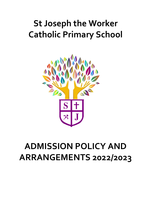# **St Joseph the Worker Catholic Primary School**



# **ADMISSION POLICY AND ARRANGEMENTS 2022/2023**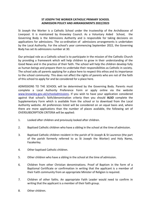## **ST JOSEPH THE WORKER CATHOLIC PRIMARY SCHOOL ADMISSION POLICY AND ARRANGEMENTS 2022/2023**

St Joseph the Worker is a Catholic School under the trusteeship of the Archdiocese of Liverpool. It is maintained by Knowsley Council. As a Voluntary Aided School, the Governing Body is the Admissions Authority and is responsible for taking decisions on applications for admissions. The co-ordination of admissions arrangements is undertaken by the Local Authority. For the school's year commencing September 2022, the Governing Body has set its admissions number at 30.

Our principal role as a Catholic school is to participate in the mission of the Catholic Church by providing a framework which will help children to grow in their understanding of the Good News and in the practice of their faith. The school will help the children develop fully as human beings and prepare them to undertake their responsibilities as Catholic in society. The school asks all parents applying for a place here to respect this ethos and its importance to the school community. This does not affect the rights of parents who are not of the faith of this school to apply for and be considered for a place here.

ADMISSIONS TO THE SCHOOL will be determined by the Governing Body. Parents must complete a Local Authority Preference Form or apply online via the website [www.knowsley.gov.uk/schooladmissions.](http://www.knowsley.gov.uk/schooladmissions) If you wish to have your application considered against that school's faith/denomination criteria then you should **ALSO** complete the Supplementary Form which is available from the school or to download from the Local Authority website. All preferences listed will be considered on an equal basis and, where there are more applications than the number of places available, the following set of OVERSUBSCRIPTION CRITERIA will be applied:

- 1. Looked after children and previously looked after children.
- 2. Baptised Catholic children who have a sibling in the school at the time of admission.
- 3. Baptised Catholic children resident in the parish of St Joseph & St Laurence (the part of the parish formerly referred to as St Joseph the Worker) and Holy Name, Fazakerley.
- 4. Other baptised Catholic children.
- 5. Other children who have a sibling in the school at the time of admission.
- 6. Children from other Christian denominations. Proof of Baptism in the form of a Baptismal Certificate or confirmation in writing that the applicant is a member of their Faith community from an appropriate Minister of Religion is required.
- 7. Children of other faiths. An appropriate Faith Leader would need to confirm in writing that the applicant is a member of their faith group.
- 8. Other children.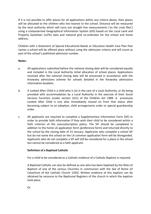If it is not possible to offer places for all applications within any criteria above, then places will be allocated to the children who live nearest to the school. Distance will be measured by the local authority which will carry out straight line measurements ('as the crow flies') using a computerised Geographical Information System (GIS) based on the Local Land and Property Gazetteer (LLPG) data and national grid co-ordinates for the school and home address.

Children with a Statement of Special Educational Needs or Education Health Care Plan that names a school will be offered place without using the admission criteria and will count as part of the school's published admission number.

### **Notes:**

- a. All applications submitted before the national closing date will be considered equally and included in the Local Authority initial allocation of school places. Applications received after the national closing date will be processed in accordance with the Knowsley admissions scheme for schools detailed in the Knowsley admissions information booklets.
- b. A Looked After Child is a child who is (a) in the care of a Local Authority, or (b) being provided with accommodation by a Local Authority in the exercise of their Social Services functions (under section 22(1) of the Children Act 1989. A previously Looked After Child is one who immediately moved on from that status after becoming subject to an adoption, child arrangements order or special guardianship order.
- c. All applicants are required to complete a Supplementary Information Form (SIF) in order to provide faith information if they wish their child to be considered within a faith criterion of the oversubscription policy. The SIF should be completed in addition to the home LA application form (preference form) and returned directly to the school by the closing date of 15 January. Applicants who complete a school SIF but do not name the school on the LA common application form will be disregarded. Applicants who do not complete a SIF will still be considered for a place in the school but cannot be considered as a faith applicant.

## **Definition of a Baptised Catholic**

For a child to be considered as a Catholic evidence of a Catholic Baptism is required.

A Baptised Catholic can also be defined as one who has been baptised by the Rites of Baptism of one of the various Churches in communion with the See of Rome (cf Catechism of the Catholic Church 1203). Written evidence of this baptism can be obtained by recourse to the Baptismal Registers of the church in which the baptism took place.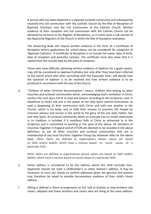A person who has been baptised in a separate ecclesial community and subsequently received into full communion with the Catholic Church by the Rite of Reception of Baptised Christians into the Full Communion of the Catholic Church. Written evidence of their reception into full communion with the Catholic Church can be obtained by recourse to the Register of Receptions, or in some cases a sub-section of the Baptismal Registers of the Church in which the Rite of Reception took place.

The Governing Body will require written evidence in the form of a Certificate of Reception before applications for school places can be considered for categories of 'Baptised Catholics'. A Certificate of Reception is to include full name, date of birth, date of reception and parent(s) name(s). The certificate must also show that it is copied from the records kept by the place of reception.

Those who have difficulty obtaining written evidence of baptism for a good reason, may still be considered as baptised Catholics but only after they have been referred to the parish priest who after consulting with the Episcopal Vicar, will decide how the question of baptism is to be resolved and how written evidence is to be produced in accordance with the law of the Church.

d. "Children of other Christian denominations" means: children who belong to other churches and ecclesial communities which, acknowledging God's revelation in Christ, confess the Lord Jesus Christ as God and Saviour according to the Scriptures, and, in obedience to God's will and in the power of the Holy Spirit commit themselves: to seek a deepening of their communion with Christ and with one another in the Church, which is his body; and to fulfil their mission to proclaim the Gospel by common witness and service in the world to the glory of the one God, Father, Son and Holy Spirit. An ecclesial community which on principle has no credal statements in its tradition, is included if it manifests faith in Christ as witnessed to in the Scriptures and is committed to working in the spirit of the above. All members of Churches Together in England and of CYTÛN are deemed to be included in the above definition, as are all other churches and ecclesial communities that are in membership of any local Churches Together Group (by whatever title) on the above basis. Other faiths are defined as organisations whose values are based on faith and/or beliefs, which have a mission based on social values of a particular faith.

Other faiths are defined as organisations whose values are based on faith and/or beliefs, which have a mission based on social values of a particular faith.

- e. Home address is considered to be the address where the child normally lives. Applicants should not state a childminder's or other relative's address. It may be necessary to carry out checks to confirm addresses given are genuine and parents may therefore be asked to provide documentary evidence of their child's home address.
- f. Sibling is defined in these arrangements as full, half or brother or step-brothers and sisters, adopted and foster brothers and sisters who are living at the same address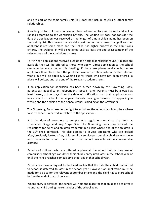and are part of the same family unit. This does not include cousins or other family relationships.

- g. A waiting list for children who have not been offered a place will be kept and will be ranked according to the Admission Criteria. The waiting list does not consider the date the application was received or the length of time a child's name has been on the waiting list. This means that a child's position on the list may change if another applicant is refused a place and their child has higher priority in the admissions criteria. The waiting list will be retained until at least the end of December of the relevant year of the admissions process.
- h. For 'In Year' applications received outside the normal admissions round, if places are available they will be offered to those who apply. Direct application to the school can now be made under this heading. If there are places available but more applicants than places then the published oversubscription criteria for the relevant year group will be applied. A waiting list for those who have not been offered a place will be kept until the end of the relevant academic term.
- i. If an application for admission has been turned down by the Governing Body, parents can appeal to an Independent Appeals Panel. Parents must be allowed at least twenty school days from the date of notification that their application was unsuccessful to submit that appeal. Parents must give reasons for appealing in writing and the decision of the Appeals Panel is binding on the Governors.
- j. The Governing Body reserve the right to withdraw the offer of a school place where false evidence is received in relation to the application.
- k. It is the duty of governors to comply with regulations on class size limits at Foundation Stage and Key Stage One. The Governing Body may exceed the regulations for twins and children from multiple births where one of the children is the  $30<sup>th</sup>$  child admitted. This also applies to in-year applicants who are looked after/previously looked after, children of UK service personnel or children who move into the area for whom there is no other school available within a reasonable distance.
- l. Parents of children who are offered a place at the school before they are of compulsory school age can defer their child's entry until later in the school year or until their child reaches compulsory school age in that school year.

Parents can make a request to the Headteacher that the date their child is admitted to school is deferred to later in the school year. However, an application must be made for a place for the relevant September intake and the child has to start school before the end of that school year.

Where entry is deferred, the school will hold the place for that child and not offer it to another child during the remainder of the school year.